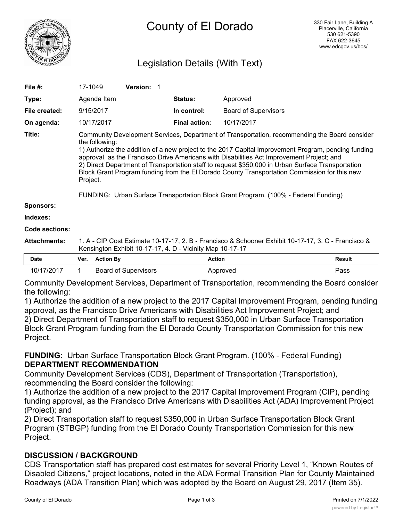

# Legislation Details (With Text)

| File #:               | 17-1049                                                                                                                                                                                                                                                                                                                                                                                                                                                                                                                                                                                                                     |                  | Version: 1                  |                      |                             |               |
|-----------------------|-----------------------------------------------------------------------------------------------------------------------------------------------------------------------------------------------------------------------------------------------------------------------------------------------------------------------------------------------------------------------------------------------------------------------------------------------------------------------------------------------------------------------------------------------------------------------------------------------------------------------------|------------------|-----------------------------|----------------------|-----------------------------|---------------|
| Type:                 |                                                                                                                                                                                                                                                                                                                                                                                                                                                                                                                                                                                                                             | Agenda Item      |                             | Status:              | Approved                    |               |
| File created:         |                                                                                                                                                                                                                                                                                                                                                                                                                                                                                                                                                                                                                             | 9/15/2017        |                             | In control:          | <b>Board of Supervisors</b> |               |
| On agenda:            |                                                                                                                                                                                                                                                                                                                                                                                                                                                                                                                                                                                                                             | 10/17/2017       |                             | <b>Final action:</b> | 10/17/2017                  |               |
| Title:                | Community Development Services, Department of Transportation, recommending the Board consider<br>the following:<br>1) Authorize the addition of a new project to the 2017 Capital Improvement Program, pending funding<br>approval, as the Francisco Drive Americans with Disabilities Act Improvement Project; and<br>2) Direct Department of Transportation staff to request \$350,000 in Urban Surface Transportation<br>Block Grant Program funding from the El Dorado County Transportation Commission for this new<br>Project.<br>FUNDING: Urban Surface Transportation Block Grant Program. (100% - Federal Funding) |                  |                             |                      |                             |               |
| <b>Sponsors:</b>      |                                                                                                                                                                                                                                                                                                                                                                                                                                                                                                                                                                                                                             |                  |                             |                      |                             |               |
| Indexes:              |                                                                                                                                                                                                                                                                                                                                                                                                                                                                                                                                                                                                                             |                  |                             |                      |                             |               |
| <b>Code sections:</b> |                                                                                                                                                                                                                                                                                                                                                                                                                                                                                                                                                                                                                             |                  |                             |                      |                             |               |
| <b>Attachments:</b>   | 1. A - CIP Cost Estimate 10-17-17, 2. B - Francisco & Schooner Exhibit 10-17-17, 3. C - Francisco &<br>Kensington Exhibit 10-17-17, 4. D - Vicinity Map 10-17-17                                                                                                                                                                                                                                                                                                                                                                                                                                                            |                  |                             |                      |                             |               |
| <b>Date</b>           | Ver.                                                                                                                                                                                                                                                                                                                                                                                                                                                                                                                                                                                                                        | <b>Action By</b> |                             | <b>Action</b>        |                             | <b>Result</b> |
| 10/17/2017            |                                                                                                                                                                                                                                                                                                                                                                                                                                                                                                                                                                                                                             |                  | <b>Board of Supervisors</b> |                      | Approved                    | Pass          |

Community Development Services, Department of Transportation, recommending the Board consider the following:

1) Authorize the addition of a new project to the 2017 Capital Improvement Program, pending funding approval, as the Francisco Drive Americans with Disabilities Act Improvement Project; and 2) Direct Department of Transportation staff to request \$350,000 in Urban Surface Transportation Block Grant Program funding from the El Dorado County Transportation Commission for this new Project.

### **FUNDING:** Urban Surface Transportation Block Grant Program. (100% - Federal Funding) **DEPARTMENT RECOMMENDATION**

Community Development Services (CDS), Department of Transportation (Transportation), recommending the Board consider the following:

1) Authorize the addition of a new project to the 2017 Capital Improvement Program (CIP), pending funding approval, as the Francisco Drive Americans with Disabilities Act (ADA) Improvement Project (Project); and

2) Direct Transportation staff to request \$350,000 in Urban Surface Transportation Block Grant Program (STBGP) funding from the El Dorado County Transportation Commission for this new Project.

## **DISCUSSION / BACKGROUND**

CDS Transportation staff has prepared cost estimates for several Priority Level 1, "Known Routes of Disabled Citizens," project locations, noted in the ADA Formal Transition Plan for County Maintained Roadways (ADA Transition Plan) which was adopted by the Board on August 29, 2017 (Item 35).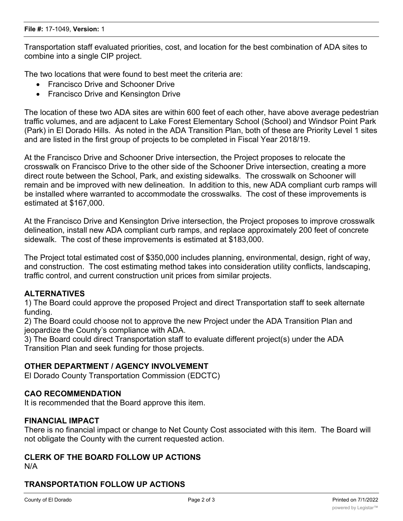Transportation staff evaluated priorities, cost, and location for the best combination of ADA sites to combine into a single CIP project.

The two locations that were found to best meet the criteria are:

- Francisco Drive and Schooner Drive
- Francisco Drive and Kensington Drive

The location of these two ADA sites are within 600 feet of each other, have above average pedestrian traffic volumes, and are adjacent to Lake Forest Elementary School (School) and Windsor Point Park (Park) in El Dorado Hills. As noted in the ADA Transition Plan, both of these are Priority Level 1 sites and are listed in the first group of projects to be completed in Fiscal Year 2018/19.

At the Francisco Drive and Schooner Drive intersection, the Project proposes to relocate the crosswalk on Francisco Drive to the other side of the Schooner Drive intersection, creating a more direct route between the School, Park, and existing sidewalks. The crosswalk on Schooner will remain and be improved with new delineation. In addition to this, new ADA compliant curb ramps will be installed where warranted to accommodate the crosswalks. The cost of these improvements is estimated at \$167,000.

At the Francisco Drive and Kensington Drive intersection, the Project proposes to improve crosswalk delineation, install new ADA compliant curb ramps, and replace approximately 200 feet of concrete sidewalk. The cost of these improvements is estimated at \$183,000.

The Project total estimated cost of \$350,000 includes planning, environmental, design, right of way, and construction. The cost estimating method takes into consideration utility conflicts, landscaping, traffic control, and current construction unit prices from similar projects.

### **ALTERNATIVES**

1) The Board could approve the proposed Project and direct Transportation staff to seek alternate funding.

2) The Board could choose not to approve the new Project under the ADA Transition Plan and jeopardize the County's compliance with ADA.

3) The Board could direct Transportation staff to evaluate different project(s) under the ADA Transition Plan and seek funding for those projects.

### **OTHER DEPARTMENT / AGENCY INVOLVEMENT**

El Dorado County Transportation Commission (EDCTC)

## **CAO RECOMMENDATION**

It is recommended that the Board approve this item.

#### **FINANCIAL IMPACT**

There is no financial impact or change to Net County Cost associated with this item. The Board will not obligate the County with the current requested action.

### **CLERK OF THE BOARD FOLLOW UP ACTIONS**

N/A

# **TRANSPORTATION FOLLOW UP ACTIONS**